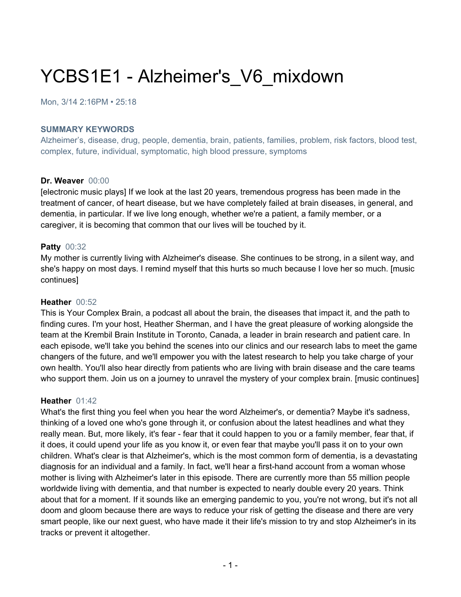# YCBS1E1 - Alzheimer's V6 mixdown

Mon, 3/14 2:16PM • 25:18

#### **SUMMARY KEYWORDS**

Alzheimer's, disease, drug, people, dementia, brain, patients, families, problem, risk factors, blood test, complex, future, individual, symptomatic, high blood pressure, symptoms

### **Dr. Weaver** 00:00

[electronic music plays] If we look at the last 20 years, tremendous progress has been made in the treatment of cancer, of heart disease, but we have completely failed at brain diseases, in general, and dementia, in particular. If we live long enough, whether we're a patient, a family member, or a caregiver, it is becoming that common that our lives will be touched by it.

### **Patty** 00:32

My mother is currently living with Alzheimer's disease. She continues to be strong, in a silent way, and she's happy on most days. I remind myself that this hurts so much because I love her so much. [music continues]

#### **Heather** 00:52

This is Your Complex Brain, a podcast all about the brain, the diseases that impact it, and the path to finding cures. I'm your host, Heather Sherman, and I have the great pleasure of working alongside the team at the Krembil Brain Institute in Toronto, Canada, a leader in brain research and patient care. In each episode, we'll take you behind the scenes into our clinics and our research labs to meet the game changers of the future, and we'll empower you with the latest research to help you take charge of your own health. You'll also hear directly from patients who are living with brain disease and the care teams who support them. Join us on a journey to unravel the mystery of your complex brain. [music continues]

#### **Heather** 01:42

What's the first thing you feel when you hear the word Alzheimer's, or dementia? Maybe it's sadness, thinking of a loved one who's gone through it, or confusion about the latest headlines and what they really mean. But, more likely, it's fear - fear that it could happen to you or a family member, fear that, if it does, it could upend your life as you know it, or even fear that maybe you'll pass it on to your own children. What's clear is that Alzheimer's, which is the most common form of dementia, is a devastating diagnosis for an individual and a family. In fact, we'll hear a first-hand account from a woman whose mother is living with Alzheimer's later in this episode. There are currently more than 55 million people worldwide living with dementia, and that number is expected to nearly double every 20 years. Think about that for a moment. If it sounds like an emerging pandemic to you, you're not wrong, but it's not all doom and gloom because there are ways to reduce your risk of getting the disease and there are very smart people, like our next guest, who have made it their life's mission to try and stop Alzheimer's in its tracks or prevent it altogether.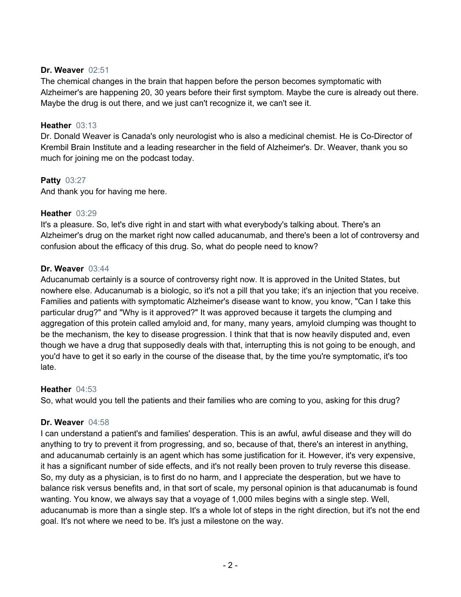## **Dr. Weaver** 02:51

The chemical changes in the brain that happen before the person becomes symptomatic with Alzheimer's are happening 20, 30 years before their first symptom. Maybe the cure is already out there. Maybe the drug is out there, and we just can't recognize it, we can't see it.

## **Heather** 03:13

Dr. Donald Weaver is Canada's only neurologist who is also a medicinal chemist. He is Co-Director of Krembil Brain Institute and a leading researcher in the field of Alzheimer's. Dr. Weaver, thank you so much for joining me on the podcast today.

# **Patty** 03:27

And thank you for having me here.

## **Heather** 03:29

It's a pleasure. So, let's dive right in and start with what everybody's talking about. There's an Alzheimer's drug on the market right now called aducanumab, and there's been a lot of controversy and confusion about the efficacy of this drug. So, what do people need to know?

## **Dr. Weaver** 03:44

Aducanumab certainly is a source of controversy right now. It is approved in the United States, but nowhere else. Aducanumab is a biologic, so it's not a pill that you take; it's an injection that you receive. Families and patients with symptomatic Alzheimer's disease want to know, you know, "Can I take this particular drug?" and "Why is it approved?" It was approved because it targets the clumping and aggregation of this protein called amyloid and, for many, many years, amyloid clumping was thought to be the mechanism, the key to disease progression. I think that that is now heavily disputed and, even though we have a drug that supposedly deals with that, interrupting this is not going to be enough, and you'd have to get it so early in the course of the disease that, by the time you're symptomatic, it's too late.

### **Heather** 04:53

So, what would you tell the patients and their families who are coming to you, asking for this drug?

# **Dr. Weaver** 04:58

I can understand a patient's and families' desperation. This is an awful, awful disease and they will do anything to try to prevent it from progressing, and so, because of that, there's an interest in anything, and aducanumab certainly is an agent which has some justification for it. However, it's very expensive, it has a significant number of side effects, and it's not really been proven to truly reverse this disease. So, my duty as a physician, is to first do no harm, and I appreciate the desperation, but we have to balance risk versus benefits and, in that sort of scale, my personal opinion is that aducanumab is found wanting. You know, we always say that a voyage of 1,000 miles begins with a single step. Well, aducanumab is more than a single step. It's a whole lot of steps in the right direction, but it's not the end goal. It's not where we need to be. It's just a milestone on the way.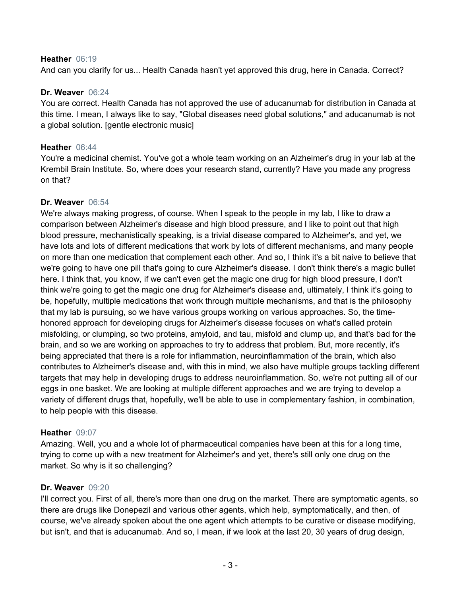### **Heather** 06:19

And can you clarify for us... Health Canada hasn't yet approved this drug, here in Canada. Correct?

#### **Dr. Weaver** 06:24

You are correct. Health Canada has not approved the use of aducanumab for distribution in Canada at this time. I mean, I always like to say, "Global diseases need global solutions," and aducanumab is not a global solution. [gentle electronic music]

#### **Heather** 06:44

You're a medicinal chemist. You've got a whole team working on an Alzheimer's drug in your lab at the Krembil Brain Institute. So, where does your research stand, currently? Have you made any progress on that?

#### **Dr. Weaver** 06:54

We're always making progress, of course. When I speak to the people in my lab, I like to draw a comparison between Alzheimer's disease and high blood pressure, and I like to point out that high blood pressure, mechanistically speaking, is a trivial disease compared to Alzheimer's, and yet, we have lots and lots of different medications that work by lots of different mechanisms, and many people on more than one medication that complement each other. And so, I think it's a bit naive to believe that we're going to have one pill that's going to cure Alzheimer's disease. I don't think there's a magic bullet here. I think that, you know, if we can't even get the magic one drug for high blood pressure, I don't think we're going to get the magic one drug for Alzheimer's disease and, ultimately, I think it's going to be, hopefully, multiple medications that work through multiple mechanisms, and that is the philosophy that my lab is pursuing, so we have various groups working on various approaches. So, the timehonored approach for developing drugs for Alzheimer's disease focuses on what's called protein misfolding, or clumping, so two proteins, amyloid, and tau, misfold and clump up, and that's bad for the brain, and so we are working on approaches to try to address that problem. But, more recently, it's being appreciated that there is a role for inflammation, neuroinflammation of the brain, which also contributes to Alzheimer's disease and, with this in mind, we also have multiple groups tackling different targets that may help in developing drugs to address neuroinflammation. So, we're not putting all of our eggs in one basket. We are looking at multiple different approaches and we are trying to develop a variety of different drugs that, hopefully, we'll be able to use in complementary fashion, in combination, to help people with this disease.

### **Heather** 09:07

Amazing. Well, you and a whole lot of pharmaceutical companies have been at this for a long time, trying to come up with a new treatment for Alzheimer's and yet, there's still only one drug on the market. So why is it so challenging?

### **Dr. Weaver** 09:20

I'll correct you. First of all, there's more than one drug on the market. There are symptomatic agents, so there are drugs like Donepezil and various other agents, which help, symptomatically, and then, of course, we've already spoken about the one agent which attempts to be curative or disease modifying, but isn't, and that is aducanumab. And so, I mean, if we look at the last 20, 30 years of drug design,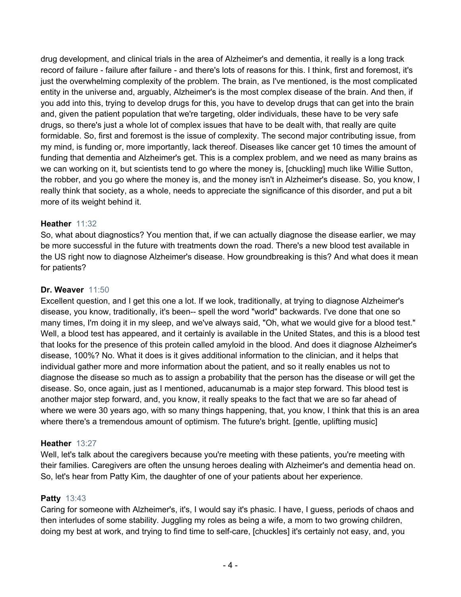drug development, and clinical trials in the area of Alzheimer's and dementia, it really is a long track record of failure - failure after failure - and there's lots of reasons for this. I think, first and foremost, it's just the overwhelming complexity of the problem. The brain, as I've mentioned, is the most complicated entity in the universe and, arguably, Alzheimer's is the most complex disease of the brain. And then, if you add into this, trying to develop drugs for this, you have to develop drugs that can get into the brain and, given the patient population that we're targeting, older individuals, these have to be very safe drugs, so there's just a whole lot of complex issues that have to be dealt with, that really are quite formidable. So, first and foremost is the issue of complexity. The second major contributing issue, from my mind, is funding or, more importantly, lack thereof. Diseases like cancer get 10 times the amount of funding that dementia and Alzheimer's get. This is a complex problem, and we need as many brains as we can working on it, but scientists tend to go where the money is, [chuckling] much like Willie Sutton, the robber, and you go where the money is, and the money isn't in Alzheimer's disease. So, you know, I really think that society, as a whole, needs to appreciate the significance of this disorder, and put a bit more of its weight behind it.

# **Heather** 11:32

So, what about diagnostics? You mention that, if we can actually diagnose the disease earlier, we may be more successful in the future with treatments down the road. There's a new blood test available in the US right now to diagnose Alzheimer's disease. How groundbreaking is this? And what does it mean for patients?

## **Dr. Weaver** 11:50

Excellent question, and I get this one a lot. If we look, traditionally, at trying to diagnose Alzheimer's disease, you know, traditionally, it's been-- spell the word "world" backwards. I've done that one so many times, I'm doing it in my sleep, and we've always said, "Oh, what we would give for a blood test." Well, a blood test has appeared, and it certainly is available in the United States, and this is a blood test that looks for the presence of this protein called amyloid in the blood. And does it diagnose Alzheimer's disease, 100%? No. What it does is it gives additional information to the clinician, and it helps that individual gather more and more information about the patient, and so it really enables us not to diagnose the disease so much as to assign a probability that the person has the disease or will get the disease. So, once again, just as I mentioned, aducanumab is a major step forward. This blood test is another major step forward, and, you know, it really speaks to the fact that we are so far ahead of where we were 30 years ago, with so many things happening, that, you know, I think that this is an area where there's a tremendous amount of optimism. The future's bright. [gentle, uplifting music]

# **Heather** 13:27

Well, let's talk about the caregivers because you're meeting with these patients, you're meeting with their families. Caregivers are often the unsung heroes dealing with Alzheimer's and dementia head on. So, let's hear from Patty Kim, the daughter of one of your patients about her experience.

### **Patty** 13:43

Caring for someone with Alzheimer's, it's, I would say it's phasic. I have, I guess, periods of chaos and then interludes of some stability. Juggling my roles as being a wife, a mom to two growing children, doing my best at work, and trying to find time to self-care, [chuckles] it's certainly not easy, and, you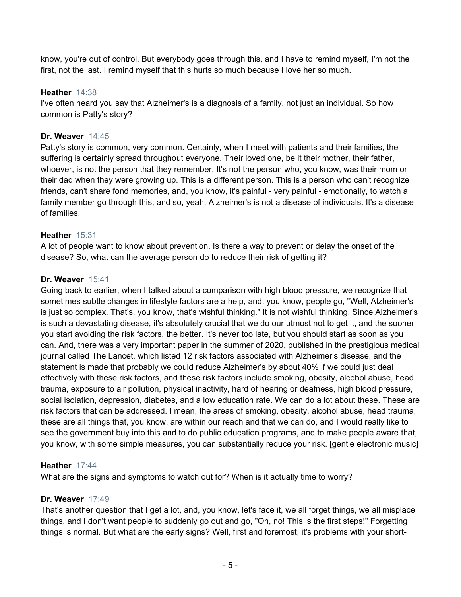know, you're out of control. But everybody goes through this, and I have to remind myself, I'm not the first, not the last. I remind myself that this hurts so much because I love her so much.

## **Heather** 14:38

I've often heard you say that Alzheimer's is a diagnosis of a family, not just an individual. So how common is Patty's story?

## **Dr. Weaver** 14:45

Patty's story is common, very common. Certainly, when I meet with patients and their families, the suffering is certainly spread throughout everyone. Their loved one, be it their mother, their father, whoever, is not the person that they remember. It's not the person who, you know, was their mom or their dad when they were growing up. This is a different person. This is a person who can't recognize friends, can't share fond memories, and, you know, it's painful - very painful - emotionally, to watch a family member go through this, and so, yeah, Alzheimer's is not a disease of individuals. It's a disease of families.

## **Heather** 15:31

A lot of people want to know about prevention. Is there a way to prevent or delay the onset of the disease? So, what can the average person do to reduce their risk of getting it?

## **Dr. Weaver** 15:41

Going back to earlier, when I talked about a comparison with high blood pressure, we recognize that sometimes subtle changes in lifestyle factors are a help, and, you know, people go, "Well, Alzheimer's is just so complex. That's, you know, that's wishful thinking." It is not wishful thinking. Since Alzheimer's is such a devastating disease, it's absolutely crucial that we do our utmost not to get it, and the sooner you start avoiding the risk factors, the better. It's never too late, but you should start as soon as you can. And, there was a very important paper in the summer of 2020, published in the prestigious medical journal called The Lancet, which listed 12 risk factors associated with Alzheimer's disease, and the statement is made that probably we could reduce Alzheimer's by about 40% if we could just deal effectively with these risk factors, and these risk factors include smoking, obesity, alcohol abuse, head trauma, exposure to air pollution, physical inactivity, hard of hearing or deafness, high blood pressure, social isolation, depression, diabetes, and a low education rate. We can do a lot about these. These are risk factors that can be addressed. I mean, the areas of smoking, obesity, alcohol abuse, head trauma, these are all things that, you know, are within our reach and that we can do, and I would really like to see the government buy into this and to do public education programs, and to make people aware that, you know, with some simple measures, you can substantially reduce your risk. [gentle electronic music]

### **Heather** 17:44

What are the signs and symptoms to watch out for? When is it actually time to worry?

### **Dr. Weaver** 17:49

That's another question that I get a lot, and, you know, let's face it, we all forget things, we all misplace things, and I don't want people to suddenly go out and go, "Oh, no! This is the first steps!" Forgetting things is normal. But what are the early signs? Well, first and foremost, it's problems with your short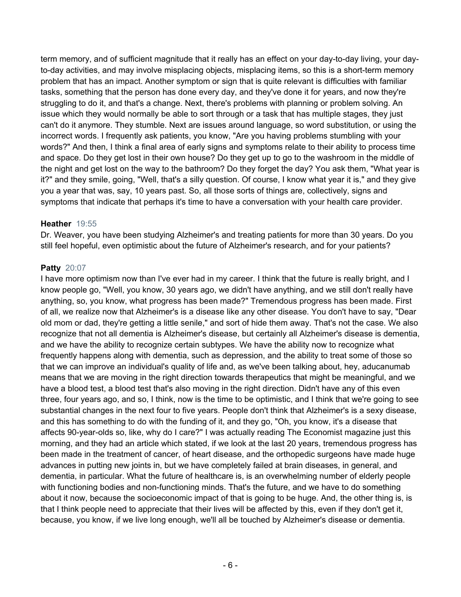term memory, and of sufficient magnitude that it really has an effect on your day-to-day living, your dayto-day activities, and may involve misplacing objects, misplacing items, so this is a short-term memory problem that has an impact. Another symptom or sign that is quite relevant is difficulties with familiar tasks, something that the person has done every day, and they've done it for years, and now they're struggling to do it, and that's a change. Next, there's problems with planning or problem solving. An issue which they would normally be able to sort through or a task that has multiple stages, they just can't do it anymore. They stumble. Next are issues around language, so word substitution, or using the incorrect words. I frequently ask patients, you know, "Are you having problems stumbling with your words?" And then, I think a final area of early signs and symptoms relate to their ability to process time and space. Do they get lost in their own house? Do they get up to go to the washroom in the middle of the night and get lost on the way to the bathroom? Do they forget the day? You ask them, "What year is it?" and they smile, going, "Well, that's a silly question. Of course, I know what year it is," and they give you a year that was, say, 10 years past. So, all those sorts of things are, collectively, signs and symptoms that indicate that perhaps it's time to have a conversation with your health care provider.

## **Heather** 19:55

Dr. Weaver, you have been studying Alzheimer's and treating patients for more than 30 years. Do you still feel hopeful, even optimistic about the future of Alzheimer's research, and for your patients?

# **Patty** 20:07

I have more optimism now than I've ever had in my career. I think that the future is really bright, and I know people go, "Well, you know, 30 years ago, we didn't have anything, and we still don't really have anything, so, you know, what progress has been made?" Tremendous progress has been made. First of all, we realize now that Alzheimer's is a disease like any other disease. You don't have to say, "Dear old mom or dad, they're getting a little senile," and sort of hide them away. That's not the case. We also recognize that not all dementia is Alzheimer's disease, but certainly all Alzheimer's disease is dementia, and we have the ability to recognize certain subtypes. We have the ability now to recognize what frequently happens along with dementia, such as depression, and the ability to treat some of those so that we can improve an individual's quality of life and, as we've been talking about, hey, aducanumab means that we are moving in the right direction towards therapeutics that might be meaningful, and we have a blood test, a blood test that's also moving in the right direction. Didn't have any of this even three, four years ago, and so, I think, now is the time to be optimistic, and I think that we're going to see substantial changes in the next four to five years. People don't think that Alzheimer's is a sexy disease, and this has something to do with the funding of it, and they go, "Oh, you know, it's a disease that affects 90-year-olds so, like, why do I care?" I was actually reading The Economist magazine just this morning, and they had an article which stated, if we look at the last 20 years, tremendous progress has been made in the treatment of cancer, of heart disease, and the orthopedic surgeons have made huge advances in putting new joints in, but we have completely failed at brain diseases, in general, and dementia, in particular. What the future of healthcare is, is an overwhelming number of elderly people with functioning bodies and non-functioning minds. That's the future, and we have to do something about it now, because the socioeconomic impact of that is going to be huge. And, the other thing is, is that I think people need to appreciate that their lives will be affected by this, even if they don't get it, because, you know, if we live long enough, we'll all be touched by Alzheimer's disease or dementia.